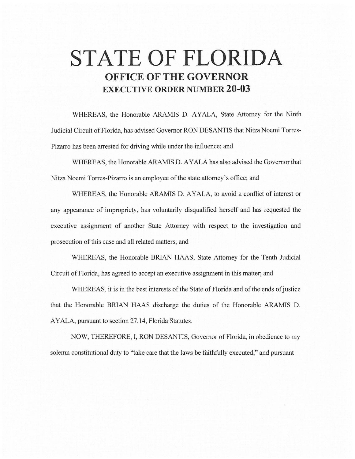# **STATE OF FLORIDA OFFICE OF THE GOVERNOR EXECUTIVE ORDER NUMBER 20-03**

WHEREAS, the Honorable ARAMIS D. AYALA, State Attorney for the Ninth Judicial Circuit of Florida, has advised Governor RON DESANTIS that Nitza Noemi Torres-Pizarro has been arrested for driving while under the influence; and

WHEREAS, the Honorable ARAMIS D. AYALA has also advised the Governor that Nitza Noemi Torres-Pizarro is an employee of the state attorney's office; and

WHEREAS, the Honorable ARAMIS D. AYALA, to avoid a conflict of interest or any appearance of impropriety, has voluntarily disqualified herself and has requested the executive assignment of another State Attorney with respect to the investigation and prosecution of this case and all related matters; and

WHEREAS, the Honorable BRIAN HAAS, State Attorney for the Tenth Judicial Circuit of Florida, has agreed to accept an executive assignment in this matter; and

WHEREAS, it is in the best interests of the State of Florida and of the ends of justice that the Honorable BRIAN HAAS discharge the duties of the Honorable ARAMIS D. AYALA, pursuant to section 27 .14, Florida Statutes.

NOW, THEREFORE, I, RON DESANTIS, Governor of Florida, in obedience to my solemn constitutional duty to "take care that the laws be faithfully executed," and pursuant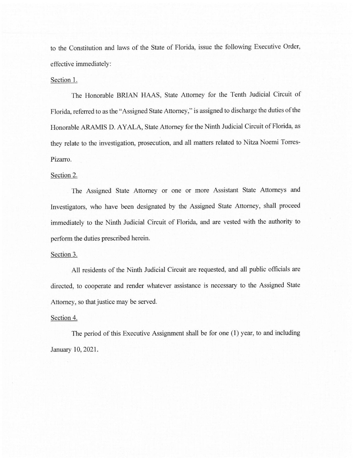to the Constitution and laws of the State of Florida, issue the following Executive Order, effective immediately:

## Section 1.

The Honorable BRIAN HAAS, State Attorney for the Tenth Judicial Circuit of Florida, referred to as the "Assigned State Attorney," is assigned to discharge the duties of the Honorable ARAMIS D. AYALA, State Attorney for the Ninth Judicial Circuit of Florida, as they relate to the investigation, prosecution, and all matters related to Nitza Noemi Torres-Pizarro.

#### Section 2.

The Assigned State Attorney or one or more Assistant State Attorneys and Investigators, who have been designated by the Assigned State Attorney, shall proceed immediately to the Ninth Judicial Circuit of Florida, and are vested with the authority to perform the duties prescribed herein.

### Section 3.

All residents of the Ninth Judicial Circuit are requested, and all public officials are directed, to cooperate and render whatever assistance is necessary to the Assigned State Attorney, so that justice may be served.

## Section 4.

The period of this Executive Assignment shall be for one (1) year, to and including January 10, 2021.